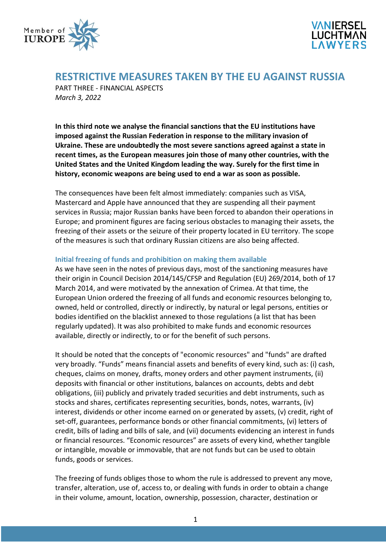



# **RESTRICTIVE MEASURES TAKEN BY THE EU AGAINST RUSSIA**

PART THREE - FINANCIAL ASPECTS *March 3, 2022*

**In this third note we analyse the financial sanctions that the EU institutions have imposed against the Russian Federation in response to the military invasion of Ukraine. These are undoubtedly the most severe sanctions agreed against a state in recent times, as the European measures join those of many other countries, with the United States and the United Kingdom leading the way. Surely for the first time in history, economic weapons are being used to end a war as soon as possible.**

The consequences have been felt almost immediately: companies such as VISA, Mastercard and Apple have announced that they are suspending all their payment services in Russia; major Russian banks have been forced to abandon their operations in Europe; and prominent figures are facing serious obstacles to managing their assets, the freezing of their assets or the seizure of their property located in EU territory. The scope of the measures is such that ordinary Russian citizens are also being affected.

# **Initial freezing of funds and prohibition on making them available**

As we have seen in the notes of previous days, most of the sanctioning measures have their origin in Council Decision 2014/145/CFSP and Regulation (EU) 269/2014, both of 17 March 2014, and were motivated by the annexation of Crimea. At that time, the European Union ordered the freezing of all funds and economic resources belonging to, owned, held or controlled, directly or indirectly, by natural or legal persons, entities or bodies identified on the blacklist annexed to those regulations (a list that has been regularly updated). It was also prohibited to make funds and economic resources available, directly or indirectly, to or for the benefit of such persons.

It should be noted that the concepts of "economic resources" and "funds" are drafted very broadly. "Funds" means financial assets and benefits of every kind, such as: (i) cash, cheques, claims on money, drafts, money orders and other payment instruments, (ii) deposits with financial or other institutions, balances on accounts, debts and debt obligations, (iii) publicly and privately traded securities and debt instruments, such as stocks and shares, certificates representing securities, bonds, notes, warrants, (iv) interest, dividends or other income earned on or generated by assets, (v) credit, right of set-off, guarantees, performance bonds or other financial commitments, (vi) letters of credit, bills of lading and bills of sale, and (vii) documents evidencing an interest in funds or financial resources. "Economic resources" are assets of every kind, whether tangible or intangible, movable or immovable, that are not funds but can be used to obtain funds, goods or services.

The freezing of funds obliges those to whom the rule is addressed to prevent any move, transfer, alteration, use of, access to, or dealing with funds in order to obtain a change in their volume, amount, location, ownership, possession, character, destination or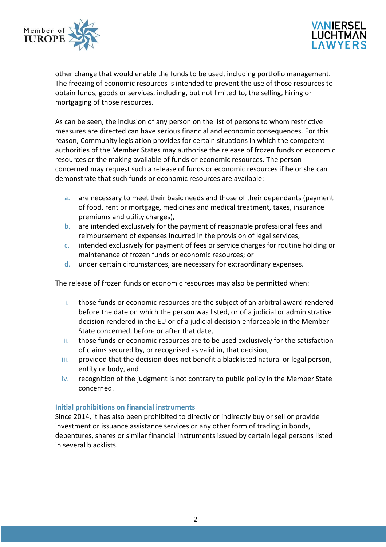



other change that would enable the funds to be used, including portfolio management. The freezing of economic resources is intended to prevent the use of those resources to obtain funds, goods or services, including, but not limited to, the selling, hiring or mortgaging of those resources.

As can be seen, the inclusion of any person on the list of persons to whom restrictive measures are directed can have serious financial and economic consequences. For this reason, Community legislation provides for certain situations in which the competent authorities of the Member States may authorise the release of frozen funds or economic resources or the making available of funds or economic resources. The person concerned may request such a release of funds or economic resources if he or she can demonstrate that such funds or economic resources are available:

- a. are necessary to meet their basic needs and those of their dependants (payment of food, rent or mortgage, medicines and medical treatment, taxes, insurance premiums and utility charges),
- b. are intended exclusively for the payment of reasonable professional fees and reimbursement of expenses incurred in the provision of legal services,
- c. intended exclusively for payment of fees or service charges for routine holding or maintenance of frozen funds or economic resources; or
- d. under certain circumstances, are necessary for extraordinary expenses.

The release of frozen funds or economic resources may also be permitted when:

- i. those funds or economic resources are the subject of an arbitral award rendered before the date on which the person was listed, or of a judicial or administrative decision rendered in the EU or of a judicial decision enforceable in the Member State concerned, before or after that date,
- ii. those funds or economic resources are to be used exclusively for the satisfaction of claims secured by, or recognised as valid in, that decision,
- iii. provided that the decision does not benefit a blacklisted natural or legal person, entity or body, and
- iv. recognition of the judgment is not contrary to public policy in the Member State concerned.

# **Initial prohibitions on financial instruments**

Since 2014, it has also been prohibited to directly or indirectly buy or sell or provide investment or issuance assistance services or any other form of trading in bonds, debentures, shares or similar financial instruments issued by certain legal persons listed in several blacklists.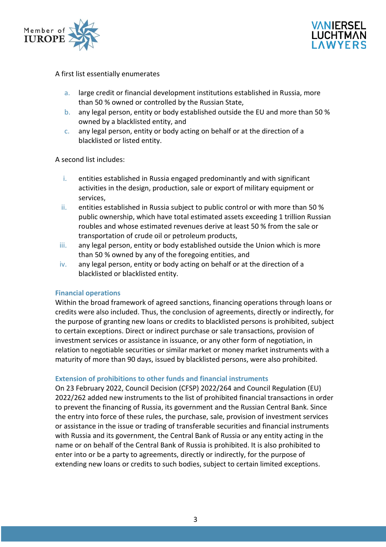



#### A first list essentially enumerates

- a. large credit or financial development institutions established in Russia, more than 50 % owned or controlled by the Russian State,
- b. any legal person, entity or body established outside the EU and more than 50 % owned by a blacklisted entity, and
- c. any legal person, entity or body acting on behalf or at the direction of a blacklisted or listed entity.

A second list includes:

- i. entities established in Russia engaged predominantly and with significant activities in the design, production, sale or export of military equipment or services,
- ii. entities established in Russia subject to public control or with more than 50 % public ownership, which have total estimated assets exceeding 1 trillion Russian roubles and whose estimated revenues derive at least 50 % from the sale or transportation of crude oil or petroleum products,
- iii. any legal person, entity or body established outside the Union which is more than 50 % owned by any of the foregoing entities, and
- iv. any legal person, entity or body acting on behalf or at the direction of a blacklisted or blacklisted entity.

#### **Financial operations**

Within the broad framework of agreed sanctions, financing operations through loans or credits were also included. Thus, the conclusion of agreements, directly or indirectly, for the purpose of granting new loans or credits to blacklisted persons is prohibited, subject to certain exceptions. Direct or indirect purchase or sale transactions, provision of investment services or assistance in issuance, or any other form of negotiation, in relation to negotiable securities or similar market or money market instruments with a maturity of more than 90 days, issued by blacklisted persons, were also prohibited.

### **Extension of prohibitions to other funds and financial instruments**

On 23 February 2022, Council Decision (CFSP) 2022/264 and Council Regulation (EU) 2022/262 added new instruments to the list of prohibited financial transactions in order to prevent the financing of Russia, its government and the Russian Central Bank. Since the entry into force of these rules, the purchase, sale, provision of investment services or assistance in the issue or trading of transferable securities and financial instruments with Russia and its government, the Central Bank of Russia or any entity acting in the name or on behalf of the Central Bank of Russia is prohibited. It is also prohibited to enter into or be a party to agreements, directly or indirectly, for the purpose of extending new loans or credits to such bodies, subject to certain limited exceptions.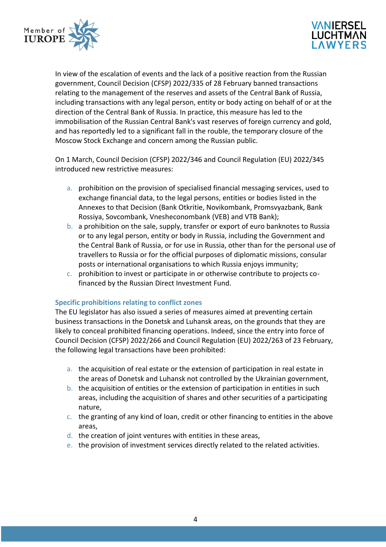



In view of the escalation of events and the lack of a positive reaction from the Russian government, Council Decision (CFSP) 2022/335 of 28 February banned transactions relating to the management of the reserves and assets of the Central Bank of Russia, including transactions with any legal person, entity or body acting on behalf of or at the direction of the Central Bank of Russia. In practice, this measure has led to the immobilisation of the Russian Central Bank's vast reserves of foreign currency and gold, and has reportedly led to a significant fall in the rouble, the temporary closure of the Moscow Stock Exchange and concern among the Russian public.

On 1 March, Council Decision (CFSP) 2022/346 and Council Regulation (EU) 2022/345 introduced new restrictive measures:

- a. prohibition on the provision of specialised financial messaging services, used to exchange financial data, to the legal persons, entities or bodies listed in the Annexes to that Decision (Bank Otkritie, Novikombank, Promsvyazbank, Bank Rossiya, Sovcombank, Vnesheconombank (VEB) and VTB Bank);
- b. a prohibition on the sale, supply, transfer or export of euro banknotes to Russia or to any legal person, entity or body in Russia, including the Government and the Central Bank of Russia, or for use in Russia, other than for the personal use of travellers to Russia or for the official purposes of diplomatic missions, consular posts or international organisations to which Russia enjoys immunity;
- c. prohibition to invest or participate in or otherwise contribute to projects cofinanced by the Russian Direct Investment Fund.

# **Specific prohibitions relating to conflict zones**

The EU legislator has also issued a series of measures aimed at preventing certain business transactions in the Donetsk and Luhansk areas, on the grounds that they are likely to conceal prohibited financing operations. Indeed, since the entry into force of Council Decision (CFSP) 2022/266 and Council Regulation (EU) 2022/263 of 23 February, the following legal transactions have been prohibited:

- a. the acquisition of real estate or the extension of participation in real estate in the areas of Donetsk and Luhansk not controlled by the Ukrainian government,
- b. the acquisition of entities or the extension of participation in entities in such areas, including the acquisition of shares and other securities of a participating nature,
- c. the granting of any kind of loan, credit or other financing to entities in the above areas,
- d. the creation of joint ventures with entities in these areas,
- e. the provision of investment services directly related to the related activities.